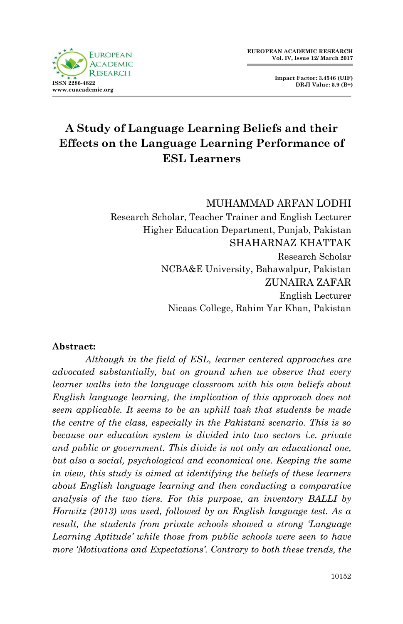



# **A Study of Language Learning Beliefs and their Effects on the Language Learning Performance of ESL Learners**

### MUHAMMAD ARFAN LODHI Research Scholar, Teacher Trainer and English Lecturer Higher Education Department, Punjab, Pakistan SHAHARNAZ KHATTAK Research Scholar NCBA&E University, Bahawalpur, Pakistan ZUNAIRA ZAFAR English Lecturer Nicaas College, Rahim Yar Khan, Pakistan

#### **Abstract:**

*Although in the field of ESL, learner centered approaches are advocated substantially, but on ground when we observe that every learner walks into the language classroom with his own beliefs about English language learning, the implication of this approach does not seem applicable. It seems to be an uphill task that students be made the centre of the class, especially in the Pakistani scenario. This is so because our education system is divided into two sectors i.e. private and public or government. This divide is not only an educational one, but also a social, psychological and economical one. Keeping the same in view, this study is aimed at identifying the beliefs of these learners about English language learning and then conducting a comparative analysis of the two tiers. For this purpose, an inventory BALLI by Horwitz (2013) was used, followed by an English language test. As a result, the students from private schools showed a strong 'Language Learning Aptitude' while those from public schools were seen to have more 'Motivations and Expectations'. Contrary to both these trends, the*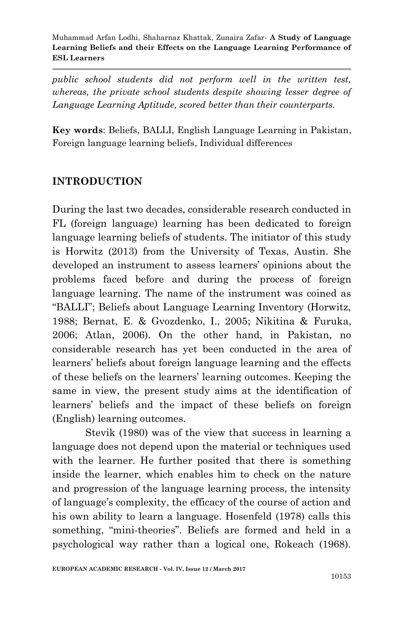*public school students did not perform well in the written test, whereas, the private school students despite showing lesser degree of Language Learning Aptitude, scored better than their counterparts.*

**Key words**: Beliefs, BALLI, English Language Learning in Pakistan, Foreign language learning beliefs, Individual differences

### **INTRODUCTION**

During the last two decades, considerable research conducted in FL (foreign language) learning has been dedicated to foreign language learning beliefs of students. The initiator of this study is Horwitz (2013) from the University of Texas, Austin. She developed an instrument to assess learners" opinions about the problems faced before and during the process of foreign language learning. The name of the instrument was coined as "BALLI"; Beliefs about Language Learning Inventory (Horwitz, 1988; Bernat, E. & Gvozdenko, I., 2005; Nikitina & Furuka, 2006; Atlan, 2006). On the other hand, in Pakistan, no considerable research has yet been conducted in the area of learners" beliefs about foreign language learning and the effects of these beliefs on the learners" learning outcomes. Keeping the same in view, the present study aims at the identification of learners" beliefs and the impact of these beliefs on foreign (English) learning outcomes.

Stevik (1980) was of the view that success in learning a language does not depend upon the material or techniques used with the learner. He further posited that there is something inside the learner, which enables him to check on the nature and progression of the language learning process, the intensity of language"s complexity, the efficacy of the course of action and his own ability to learn a language. Hosenfeld (1978) calls this something, "mini-theories". Beliefs are formed and held in a psychological way rather than a logical one, Rokeach (1968).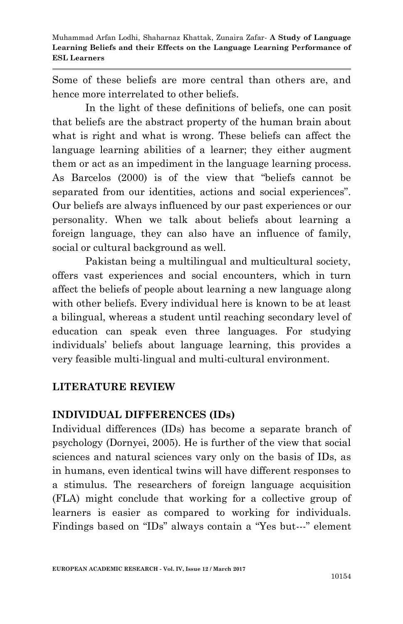Some of these beliefs are more central than others are, and hence more interrelated to other beliefs.

In the light of these definitions of beliefs, one can posit that beliefs are the abstract property of the human brain about what is right and what is wrong. These beliefs can affect the language learning abilities of a learner; they either augment them or act as an impediment in the language learning process. As Barcelos (2000) is of the view that "beliefs cannot be separated from our identities, actions and social experiences". Our beliefs are always influenced by our past experiences or our personality. When we talk about beliefs about learning a foreign language, they can also have an influence of family, social or cultural background as well.

Pakistan being a multilingual and multicultural society, offers vast experiences and social encounters, which in turn affect the beliefs of people about learning a new language along with other beliefs. Every individual here is known to be at least a bilingual, whereas a student until reaching secondary level of education can speak even three languages. For studying individuals" beliefs about language learning, this provides a very feasible multi-lingual and multi-cultural environment.

#### **LITERATURE REVIEW**

#### **INDIVIDUAL DIFFERENCES (IDs)**

Individual differences (IDs) has become a separate branch of psychology (Dornyei, 2005). He is further of the view that social sciences and natural sciences vary only on the basis of IDs, as in humans, even identical twins will have different responses to a stimulus. The researchers of foreign language acquisition (FLA) might conclude that working for a collective group of learners is easier as compared to working for individuals. Findings based on "IDs" always contain a "Yes but---" element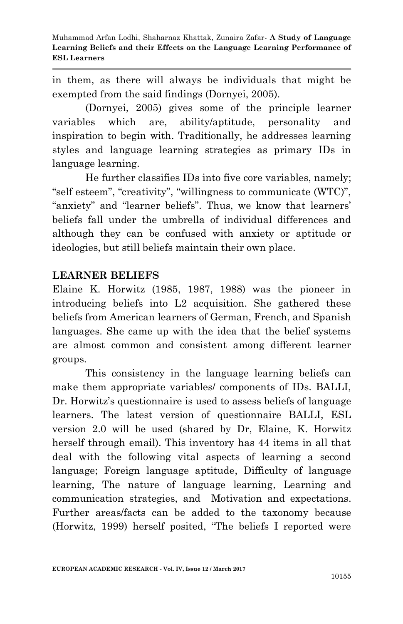in them, as there will always be individuals that might be exempted from the said findings (Dornyei, 2005).

(Dornyei, 2005) gives some of the principle learner variables which are, ability/aptitude, personality and inspiration to begin with. Traditionally, he addresses learning styles and language learning strategies as primary IDs in language learning.

He further classifies IDs into five core variables, namely; "self esteem", "creativity", "willingness to communicate (WTC)", "anxiety" and "learner beliefs". Thus, we know that learners' beliefs fall under the umbrella of individual differences and although they can be confused with anxiety or aptitude or ideologies, but still beliefs maintain their own place.

#### **LEARNER BELIEFS**

Elaine K. Horwitz (1985, 1987, 1988) was the pioneer in introducing beliefs into L2 acquisition. She gathered these beliefs from American learners of German, French, and Spanish languages. She came up with the idea that the belief systems are almost common and consistent among different learner groups.

This consistency in the language learning beliefs can make them appropriate variables/ components of IDs. BALLI, Dr. Horwitz's questionnaire is used to assess beliefs of language learners. The latest version of questionnaire BALLI, ESL version 2.0 will be used (shared by Dr, Elaine, K. Horwitz herself through email). This inventory has 44 items in all that deal with the following vital aspects of learning a second language; Foreign language aptitude, Difficulty of language learning, The nature of language learning, Learning and communication strategies, and Motivation and expectations. Further areas/facts can be added to the taxonomy because (Horwitz, 1999) herself posited, "The beliefs I reported were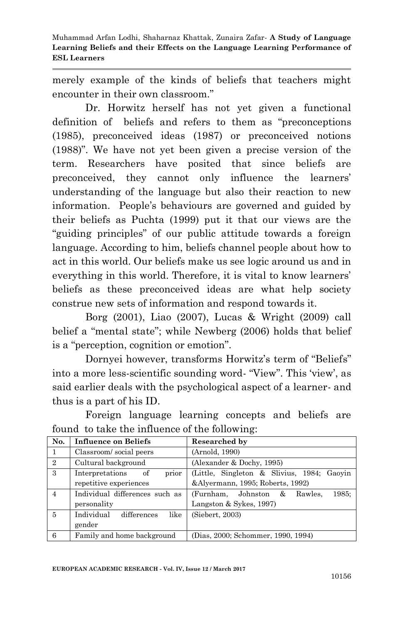merely example of the kinds of beliefs that teachers might encounter in their own classroom."

Dr. Horwitz herself has not yet given a functional definition of beliefs and refers to them as "preconceptions (1985), preconceived ideas (1987) or preconceived notions (1988)". We have not yet been given a precise version of the term. Researchers have posited that since beliefs are preconceived, they cannot only influence the learners' understanding of the language but also their reaction to new information. People"s behaviours are governed and guided by their beliefs as Puchta (1999) put it that our views are the "guiding principles" of our public attitude towards a foreign language. According to him, beliefs channel people about how to act in this world. Our beliefs make us see logic around us and in everything in this world. Therefore, it is vital to know learners' beliefs as these preconceived ideas are what help society construe new sets of information and respond towards it.

Borg (2001), Liao (2007), Lucas & Wright (2009) call belief a "mental state"; while Newberg (2006) holds that belief is a "perception, cognition or emotion".

Dornyei however, transforms Horwitz's term of "Beliefs" into a more less-scientific sounding word- "View". This "view", as said earlier deals with the psychological aspect of a learner- and thus is a part of his ID.

Foreign language learning concepts and beliefs are found to take the influence of the following:

| No.            | Influence on Beliefs              | Researched by                                |
|----------------|-----------------------------------|----------------------------------------------|
| 1              | Classroom/social peers            | (Arnold, 1990)                               |
| 2              | Cultural background               | (Alexander & Dochy, 1995)                    |
| 3              | prior<br>Interpretations<br>of    | (Little, Singleton & Slivius, 1984; Gaoyin   |
|                | repetitive experiences            | &Alyermann, 1995; Roberts, 1992)             |
| $\overline{4}$ | Individual differences such as    | 1985:<br>(Furnham, Johnston)<br>Rawles.<br>& |
|                | personality                       | Langston & Sykes, 1997)                      |
| 5              | Individual<br>like<br>differences | (Siebert, 2003)                              |
|                | gender                            |                                              |
| 6              | Family and home background        | (Dias, 2000; Schommer, 1990, 1994)           |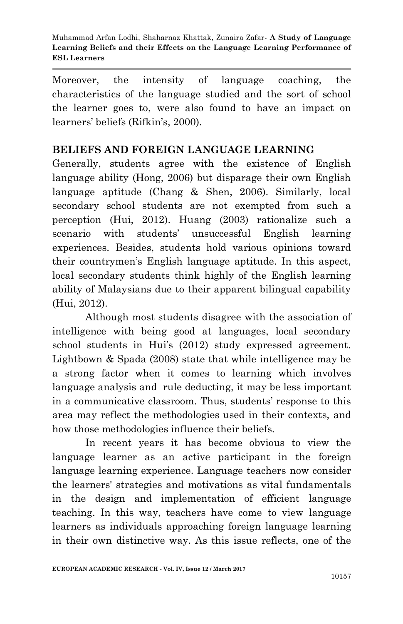Moreover, the intensity of language coaching, the characteristics of the language studied and the sort of school the learner goes to, were also found to have an impact on learners' beliefs (Rifkin's, 2000).

#### **BELIEFS AND FOREIGN LANGUAGE LEARNING**

Generally, students agree with the existence of English language ability (Hong, 2006) but disparage their own English language aptitude (Chang & Shen, 2006). Similarly, local secondary school students are not exempted from such a perception (Hui, 2012). Huang (2003) rationalize such a scenario with students' unsuccessful English learning experiences. Besides, students hold various opinions toward their countrymen"s English language aptitude. In this aspect, local secondary students think highly of the English learning ability of Malaysians due to their apparent bilingual capability (Hui, 2012).

Although most students disagree with the association of intelligence with being good at languages, local secondary school students in Hui's (2012) study expressed agreement. Lightbown & Spada (2008) state that while intelligence may be a strong factor when it comes to learning which involves language analysis and rule deducting, it may be less important in a communicative classroom. Thus, students' response to this area may reflect the methodologies used in their contexts, and how those methodologies influence their beliefs.

In recent years it has become obvious to view the language learner as an active participant in the foreign language learning experience. Language teachers now consider the learners' strategies and motivations as vital fundamentals in the design and implementation of efficient language teaching. In this way, teachers have come to view language learners as individuals approaching foreign language learning in their own distinctive way. As this issue reflects, one of the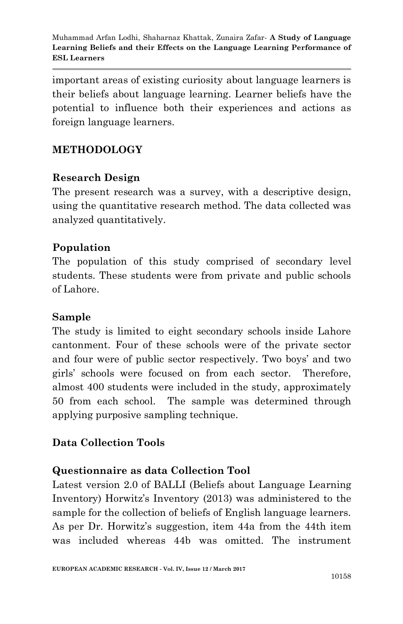important areas of existing curiosity about language learners is their beliefs about language learning. Learner beliefs have the potential to influence both their experiences and actions as foreign language learners.

## **METHODOLOGY**

### **Research Design**

The present research was a survey, with a descriptive design, using the quantitative research method. The data collected was analyzed quantitatively.

#### **Population**

The population of this study comprised of secondary level students. These students were from private and public schools of Lahore.

#### **Sample**

The study is limited to eight secondary schools inside Lahore cantonment. Four of these schools were of the private sector and four were of public sector respectively. Two boys" and two girls" schools were focused on from each sector. Therefore, almost 400 students were included in the study, approximately 50 from each school. The sample was determined through applying purposive sampling technique.

### **Data Collection Tools**

### **Questionnaire as data Collection Tool**

Latest version 2.0 of BALLI (Beliefs about Language Learning Inventory) Horwitz's Inventory (2013) was administered to the sample for the collection of beliefs of English language learners. As per Dr. Horwitz's suggestion, item 44a from the 44th item was included whereas 44b was omitted. The instrument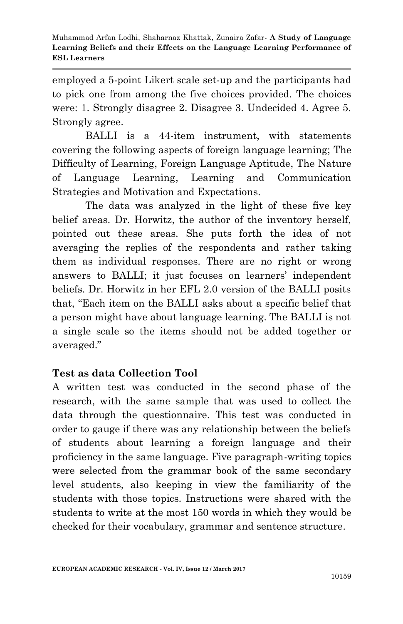employed a 5-point Likert scale set-up and the participants had to pick one from among the five choices provided. The choices were: 1. Strongly disagree 2. Disagree 3. Undecided 4. Agree 5. Strongly agree.

BALLI is a 44-item instrument, with statements covering the following aspects of foreign language learning; The Difficulty of Learning, Foreign Language Aptitude, The Nature of Language Learning, Learning and Communication Strategies and Motivation and Expectations.

The data was analyzed in the light of these five key belief areas. Dr. Horwitz, the author of the inventory herself, pointed out these areas. She puts forth the idea of not averaging the replies of the respondents and rather taking them as individual responses. There are no right or wrong answers to BALLI; it just focuses on learners' independent beliefs. Dr. Horwitz in her EFL 2.0 version of the BALLI posits that, "Each item on the BALLI asks about a specific belief that a person might have about language learning. The BALLI is not a single scale so the items should not be added together or averaged."

# **Test as data Collection Tool**

A written test was conducted in the second phase of the research, with the same sample that was used to collect the data through the questionnaire. This test was conducted in order to gauge if there was any relationship between the beliefs of students about learning a foreign language and their proficiency in the same language. Five paragraph-writing topics were selected from the grammar book of the same secondary level students, also keeping in view the familiarity of the students with those topics. Instructions were shared with the students to write at the most 150 words in which they would be checked for their vocabulary, grammar and sentence structure.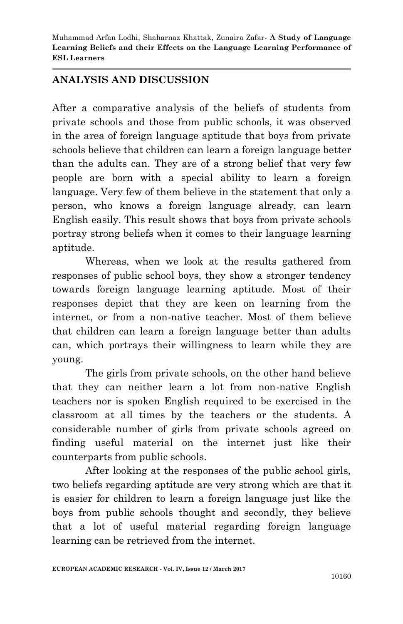#### **ANALYSIS AND DISCUSSION**

After a comparative analysis of the beliefs of students from private schools and those from public schools, it was observed in the area of foreign language aptitude that boys from private schools believe that children can learn a foreign language better than the adults can. They are of a strong belief that very few people are born with a special ability to learn a foreign language. Very few of them believe in the statement that only a person, who knows a foreign language already, can learn English easily. This result shows that boys from private schools portray strong beliefs when it comes to their language learning aptitude.

Whereas, when we look at the results gathered from responses of public school boys, they show a stronger tendency towards foreign language learning aptitude. Most of their responses depict that they are keen on learning from the internet, or from a non-native teacher. Most of them believe that children can learn a foreign language better than adults can, which portrays their willingness to learn while they are young.

The girls from private schools, on the other hand believe that they can neither learn a lot from non-native English teachers nor is spoken English required to be exercised in the classroom at all times by the teachers or the students. A considerable number of girls from private schools agreed on finding useful material on the internet just like their counterparts from public schools.

After looking at the responses of the public school girls, two beliefs regarding aptitude are very strong which are that it is easier for children to learn a foreign language just like the boys from public schools thought and secondly, they believe that a lot of useful material regarding foreign language learning can be retrieved from the internet.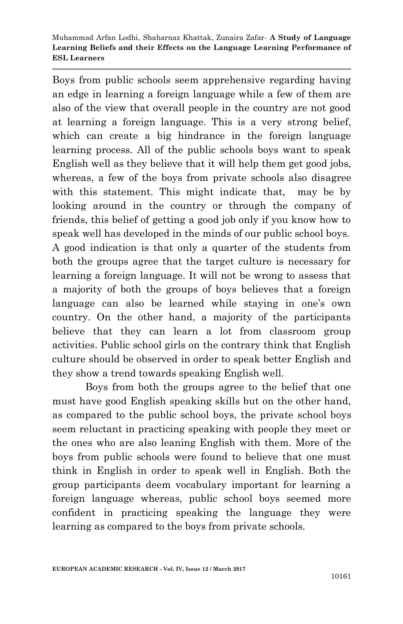Boys from public schools seem apprehensive regarding having an edge in learning a foreign language while a few of them are also of the view that overall people in the country are not good at learning a foreign language. This is a very strong belief, which can create a big hindrance in the foreign language learning process. All of the public schools boys want to speak English well as they believe that it will help them get good jobs, whereas, a few of the boys from private schools also disagree with this statement. This might indicate that, may be by looking around in the country or through the company of friends, this belief of getting a good job only if you know how to speak well has developed in the minds of our public school boys. A good indication is that only a quarter of the students from both the groups agree that the target culture is necessary for learning a foreign language. It will not be wrong to assess that a majority of both the groups of boys believes that a foreign language can also be learned while staying in one's own country. On the other hand, a majority of the participants believe that they can learn a lot from classroom group activities. Public school girls on the contrary think that English culture should be observed in order to speak better English and they show a trend towards speaking English well.

Boys from both the groups agree to the belief that one must have good English speaking skills but on the other hand, as compared to the public school boys, the private school boys seem reluctant in practicing speaking with people they meet or the ones who are also leaning English with them. More of the boys from public schools were found to believe that one must think in English in order to speak well in English. Both the group participants deem vocabulary important for learning a foreign language whereas, public school boys seemed more confident in practicing speaking the language they were learning as compared to the boys from private schools.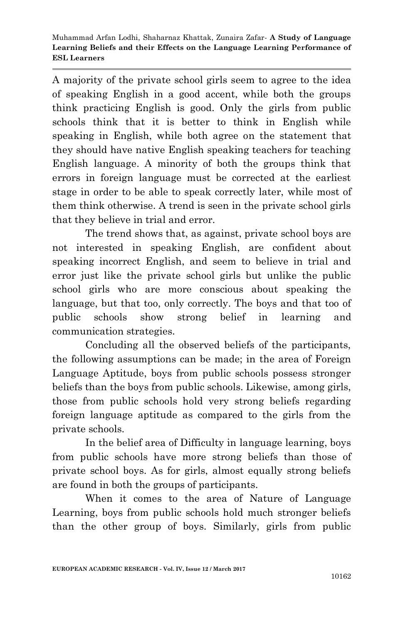A majority of the private school girls seem to agree to the idea of speaking English in a good accent, while both the groups think practicing English is good. Only the girls from public schools think that it is better to think in English while speaking in English, while both agree on the statement that they should have native English speaking teachers for teaching English language. A minority of both the groups think that errors in foreign language must be corrected at the earliest stage in order to be able to speak correctly later, while most of them think otherwise. A trend is seen in the private school girls that they believe in trial and error.

The trend shows that, as against, private school boys are not interested in speaking English, are confident about speaking incorrect English, and seem to believe in trial and error just like the private school girls but unlike the public school girls who are more conscious about speaking the language, but that too, only correctly. The boys and that too of public schools show strong belief in learning and communication strategies.

Concluding all the observed beliefs of the participants, the following assumptions can be made; in the area of Foreign Language Aptitude, boys from public schools possess stronger beliefs than the boys from public schools. Likewise, among girls, those from public schools hold very strong beliefs regarding foreign language aptitude as compared to the girls from the private schools.

In the belief area of Difficulty in language learning, boys from public schools have more strong beliefs than those of private school boys. As for girls, almost equally strong beliefs are found in both the groups of participants.

When it comes to the area of Nature of Language Learning, boys from public schools hold much stronger beliefs than the other group of boys. Similarly, girls from public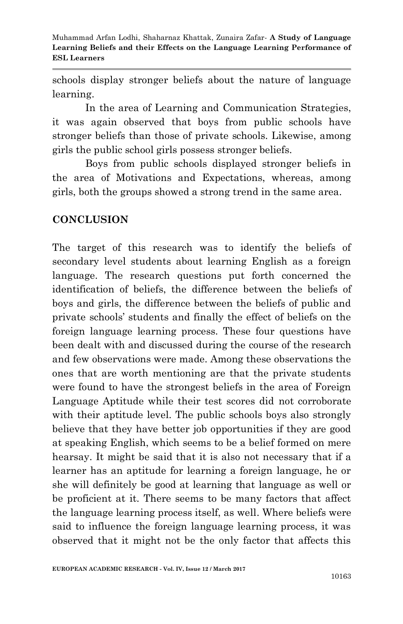schools display stronger beliefs about the nature of language learning.

In the area of Learning and Communication Strategies, it was again observed that boys from public schools have stronger beliefs than those of private schools. Likewise, among girls the public school girls possess stronger beliefs.

Boys from public schools displayed stronger beliefs in the area of Motivations and Expectations, whereas, among girls, both the groups showed a strong trend in the same area.

#### **CONCLUSION**

The target of this research was to identify the beliefs of secondary level students about learning English as a foreign language. The research questions put forth concerned the identification of beliefs, the difference between the beliefs of boys and girls, the difference between the beliefs of public and private schools" students and finally the effect of beliefs on the foreign language learning process. These four questions have been dealt with and discussed during the course of the research and few observations were made. Among these observations the ones that are worth mentioning are that the private students were found to have the strongest beliefs in the area of Foreign Language Aptitude while their test scores did not corroborate with their aptitude level. The public schools boys also strongly believe that they have better job opportunities if they are good at speaking English, which seems to be a belief formed on mere hearsay. It might be said that it is also not necessary that if a learner has an aptitude for learning a foreign language, he or she will definitely be good at learning that language as well or be proficient at it. There seems to be many factors that affect the language learning process itself, as well. Where beliefs were said to influence the foreign language learning process, it was observed that it might not be the only factor that affects this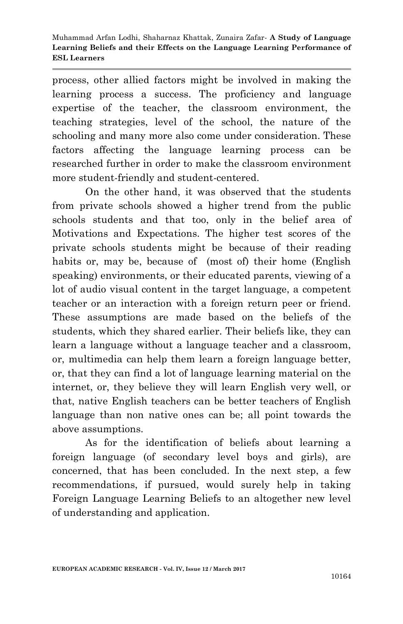process, other allied factors might be involved in making the learning process a success. The proficiency and language expertise of the teacher, the classroom environment, the teaching strategies, level of the school, the nature of the schooling and many more also come under consideration. These factors affecting the language learning process can be researched further in order to make the classroom environment more student-friendly and student-centered.

On the other hand, it was observed that the students from private schools showed a higher trend from the public schools students and that too, only in the belief area of Motivations and Expectations. The higher test scores of the private schools students might be because of their reading habits or, may be, because of (most of) their home (English speaking) environments, or their educated parents, viewing of a lot of audio visual content in the target language, a competent teacher or an interaction with a foreign return peer or friend. These assumptions are made based on the beliefs of the students, which they shared earlier. Their beliefs like, they can learn a language without a language teacher and a classroom, or, multimedia can help them learn a foreign language better, or, that they can find a lot of language learning material on the internet, or, they believe they will learn English very well, or that, native English teachers can be better teachers of English language than non native ones can be; all point towards the above assumptions.

As for the identification of beliefs about learning a foreign language (of secondary level boys and girls), are concerned, that has been concluded. In the next step, a few recommendations, if pursued, would surely help in taking Foreign Language Learning Beliefs to an altogether new level of understanding and application.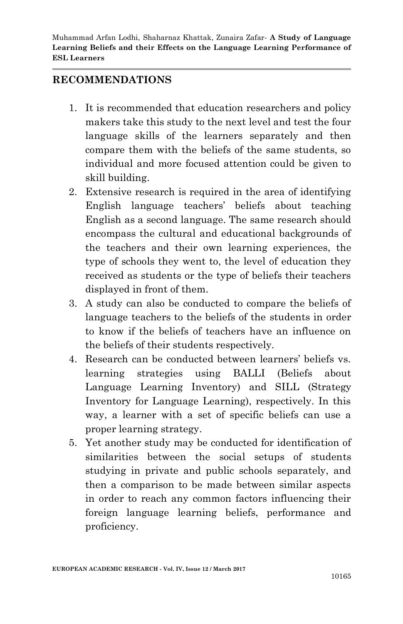#### **RECOMMENDATIONS**

- 1. It is recommended that education researchers and policy makers take this study to the next level and test the four language skills of the learners separately and then compare them with the beliefs of the same students, so individual and more focused attention could be given to skill building.
- 2. Extensive research is required in the area of identifying English language teachers" beliefs about teaching English as a second language. The same research should encompass the cultural and educational backgrounds of the teachers and their own learning experiences, the type of schools they went to, the level of education they received as students or the type of beliefs their teachers displayed in front of them.
- 3. A study can also be conducted to compare the beliefs of language teachers to the beliefs of the students in order to know if the beliefs of teachers have an influence on the beliefs of their students respectively.
- 4. Research can be conducted between learners" beliefs vs. learning strategies using BALLI (Beliefs about Language Learning Inventory) and SILL (Strategy Inventory for Language Learning), respectively. In this way, a learner with a set of specific beliefs can use a proper learning strategy.
- 5. Yet another study may be conducted for identification of similarities between the social setups of students studying in private and public schools separately, and then a comparison to be made between similar aspects in order to reach any common factors influencing their foreign language learning beliefs, performance and proficiency.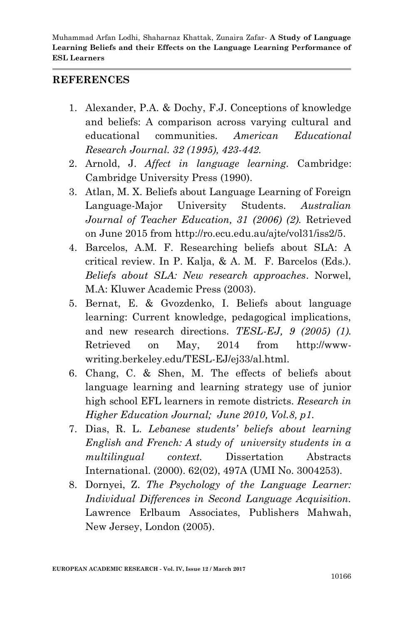#### **REFERENCES**

- 1. Alexander, P.A. & Dochy, F.J. Conceptions of knowledge and beliefs: A comparison across varying cultural and educational communities. *American Educational Research Journal. 32 (1995), 423-442.*
- 2. Arnold, J. *Affect in language learning.* Cambridge: Cambridge University Press (1990).
- 3. Atlan, M. X. Beliefs about Language Learning of Foreign Language-Major University Students. *Australian Journal of Teacher Education, 31 (2006) (2).* Retrieved on June 2015 from http://ro.ecu.edu.au/ajte/vol31/iss2/5.
- 4. Barcelos, A.M. F. Researching beliefs about SLA: A critical review. In P. Kalja, & A. M. F. Barcelos (Eds.). *Beliefs about SLA: New research approaches*. Norwel, M.A: Kluwer Academic Press (2003).
- 5. Bernat, E. & Gvozdenko, I. Beliefs about language learning: Current knowledge, pedagogical implications, and new research directions. *TESL-EJ, 9 (2005) (1).* Retrieved on May, 2014 from http://wwwwriting.berkeley.edu/TESL-EJ/ej33/al.html.
- 6. Chang, C. & Shen, M. The effects of beliefs about language learning and learning strategy use of junior high school EFL learners in remote districts. *Research in Higher Education Journal; June 2010, Vol.8, p1.*
- 7. Dias, R. L. *Lebanese students' beliefs about learning English and French: A study of university students in a multilingual context.* Dissertation Abstracts International. (2000). 62(02), 497A (UMI No. 3004253).
- 8. Dornyei, Z. *The Psychology of the Language Learner: Individual Differences in Second Language Acquisition.* Lawrence Erlbaum Associates, Publishers Mahwah, New Jersey, London (2005).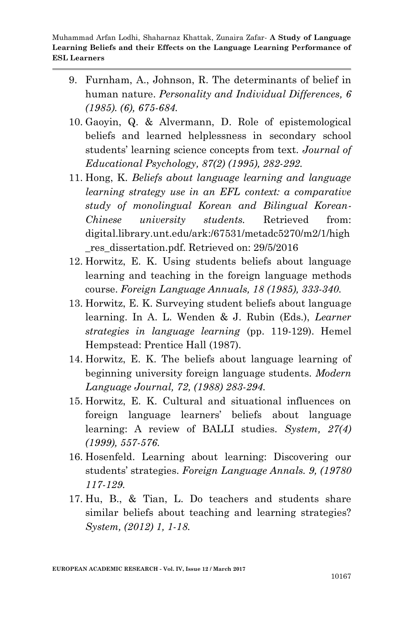- 9. Furnham, A., Johnson, R. The determinants of belief in human nature. *Personality and Individual Differences, 6 (1985). (6), 675-684.*
- 10. Gaoyin, Q. & Alvermann, D. Role of epistemological beliefs and learned helplessness in secondary school students" learning science concepts from text. *Journal of Educational Psychology, 87(2) (1995), 282-292.*
- 11. Hong, K. *Beliefs about language learning and language learning strategy use in an EFL context: a comparative study of monolingual Korean and Bilingual Korean-Chinese university students.* Retrieved from: digital.library.unt.edu/ark:/67531/metadc5270/m2/1/high \_res\_dissertation.pdf. Retrieved on: 29/5/2016
- 12. Horwitz, E. K. Using students beliefs about language learning and teaching in the foreign language methods course. *Foreign Language Annuals, 18 (1985), 333-340.*
- 13. Horwitz, E. K. Surveying student beliefs about language learning. In A. L. Wenden & J. Rubin (Eds.), *Learner strategies in language learning* (pp. 119-129). Hemel Hempstead: Prentice Hall (1987).
- 14. Horwitz, E. K. The beliefs about language learning of beginning university foreign language students. *Modern Language Journal, 72, (1988) 283-294.*
- 15. Horwitz, E. K. Cultural and situational influences on foreign language learners" beliefs about language learning: A review of BALLI studies. *System, 27(4) (1999), 557-576.*
- 16. Hosenfeld. Learning about learning: Discovering our students" strategies. *Foreign Language Annals. 9, (19780 117-129.*
- 17. Hu, B., & Tian, L. Do teachers and students share similar beliefs about teaching and learning strategies? *System, (2012) 1, 1-18.*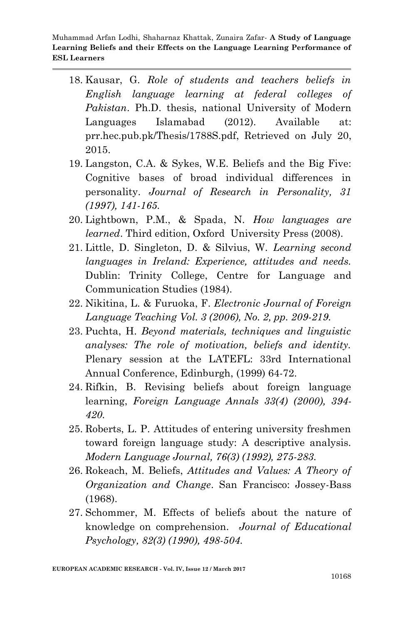- 18. Kausar, G. *Role of students and teachers beliefs in English language learning at federal colleges of Pakistan*. Ph.D. thesis, national University of Modern Languages Islamabad (2012). Available at: prr.hec.pub.pk/Thesis/1788S.pdf, Retrieved on July 20, 2015.
- 19. Langston, C.A. & Sykes, W.E. Beliefs and the Big Five: Cognitive bases of broad individual differences in personality. *Journal of Research in Personality, 31 (1997), 141-165.*
- 20. Lightbown, P.M., & Spada, N. *How languages are learned*. Third edition, Oxford University Press (2008).
- 21. Little, D. Singleton, D. & Silvius, W. *Learning second languages in Ireland: Experience, attitudes and needs.* Dublin: Trinity College, Centre for Language and Communication Studies (1984).
- 22. Nikitina, L. & Furuoka, F. *Electronic Journal of Foreign Language Teaching Vol. 3 (2006), No. 2, pp. 209-219.*
- 23. Puchta, H. *Beyond materials, techniques and linguistic analyses: The role of motivation, beliefs and identity.* Plenary session at the LATEFL: 33rd International Annual Conference, Edinburgh, (1999) 64-72.
- 24. Rifkin, B. Revising beliefs about foreign language learning, *Foreign Language Annals 33(4) (2000), 394- 420.*
- 25. Roberts, L. P. Attitudes of entering university freshmen toward foreign language study: A descriptive analysis. *Modern Language Journal, 76(3) (1992), 275-283.*
- 26. Rokeach, M. Beliefs, *Attitudes and Values: A Theory of Organization and Change*. San Francisco: Jossey-Bass (1968).
- 27. Schommer, M. Effects of beliefs about the nature of knowledge on comprehension. *Journal of Educational Psychology, 82(3) (1990), 498-504.*